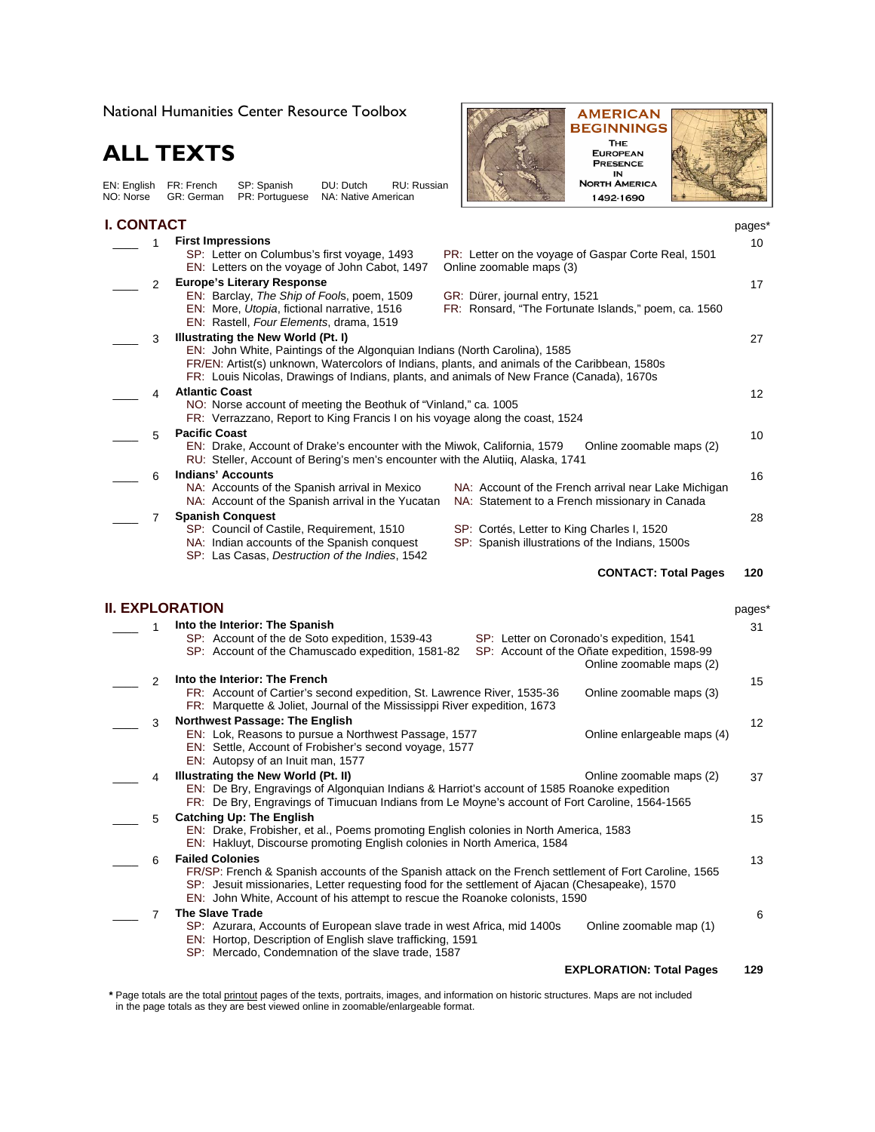National Humanities Center Resource Toolbox

## **ALL TEXTS**

EN: English FR: French SP: Spanish DU: Dutch RU: Russian NO: Norse GR: German PR: Portuguese NA: Native American

## **I. CONTACT**



| I. CONTACT |               |                                                                                                                                                                                            |                                                                                                        | pages*            |
|------------|---------------|--------------------------------------------------------------------------------------------------------------------------------------------------------------------------------------------|--------------------------------------------------------------------------------------------------------|-------------------|
|            | 1             | <b>First Impressions</b>                                                                                                                                                                   |                                                                                                        | 10                |
|            |               | SP: Letter on Columbus's first voyage, 1493                                                                                                                                                | PR: Letter on the voyage of Gaspar Corte Real, 1501                                                    |                   |
|            |               | EN: Letters on the voyage of John Cabot, 1497                                                                                                                                              | Online zoomable maps (3)                                                                               |                   |
|            | $\mathcal{P}$ | <b>Europe's Literary Response</b>                                                                                                                                                          |                                                                                                        | 17                |
|            |               | EN: Barclay, The Ship of Fools, poem, 1509                                                                                                                                                 | GR: Dürer, journal entry, 1521                                                                         |                   |
|            |               | EN: More, Utopia, fictional narrative, 1516<br>EN: Rastell, Four Elements, drama, 1519                                                                                                     | FR: Ronsard, "The Fortunate Islands," poem, ca. 1560                                                   |                   |
|            | 3             | Illustrating the New World (Pt. I)                                                                                                                                                         |                                                                                                        | 27                |
|            |               | EN: John White, Paintings of the Algonguian Indians (North Carolina), 1585                                                                                                                 |                                                                                                        |                   |
|            |               | FR/EN: Artist(s) unknown, Watercolors of Indians, plants, and animals of the Caribbean, 1580s<br>FR: Louis Nicolas, Drawings of Indians, plants, and animals of New France (Canada), 1670s |                                                                                                        |                   |
|            | 4             | <b>Atlantic Coast</b>                                                                                                                                                                      |                                                                                                        | $12 \overline{ }$ |
|            |               | NO: Norse account of meeting the Beothuk of "Vinland," ca. 1005<br>FR: Verrazzano, Report to King Francis I on his voyage along the coast, 1524                                            |                                                                                                        |                   |
|            | 5             | <b>Pacific Coast</b>                                                                                                                                                                       |                                                                                                        | 10                |
|            |               | EN: Drake, Account of Drake's encounter with the Miwok, California, 1579<br>RU: Steller, Account of Bering's men's encounter with the Alutiiq, Alaska, 1741                                | Online zoomable maps (2)                                                                               |                   |
|            | 6             | <b>Indians' Accounts</b>                                                                                                                                                                   |                                                                                                        | 16                |
|            |               | NA: Accounts of the Spanish arrival in Mexico<br>NA: Account of the Spanish arrival in the Yucatan                                                                                         | NA: Account of the French arrival near Lake Michigan<br>NA: Statement to a French missionary in Canada |                   |
|            | 7             | <b>Spanish Conquest</b>                                                                                                                                                                    |                                                                                                        | 28                |
|            |               | SP: Council of Castile, Requirement, 1510                                                                                                                                                  | SP: Cortés, Letter to King Charles I, 1520                                                             |                   |
|            |               | NA: Indian accounts of the Spanish conquest                                                                                                                                                | SP: Spanish illustrations of the Indians, 1500s                                                        |                   |
|            |               | SP: Las Casas, Destruction of the Indies, 1542                                                                                                                                             |                                                                                                        |                   |
|            |               |                                                                                                                                                                                            | <b>CONTACT: Total Pages</b>                                                                            | 120               |
|            |               | <b>II. EXPLORATION</b>                                                                                                                                                                     |                                                                                                        | pages*            |
|            |               | Into the Interior: The Spanish                                                                                                                                                             |                                                                                                        | 31                |
|            |               | SP: Account of the de Soto expedition, 1539-43                                                                                                                                             | SP: Letter on Coronado's expedition, 1541                                                              |                   |
|            |               | SP: Account of the Chamuscado expedition, 1581-82                                                                                                                                          | SP: Account of the Oñate expedition, 1598-99                                                           |                   |

|               |                                                                                                                                                                                                                                                                                                                     | Online zoomable maps (2)    |                   |
|---------------|---------------------------------------------------------------------------------------------------------------------------------------------------------------------------------------------------------------------------------------------------------------------------------------------------------------------|-----------------------------|-------------------|
| $\mathcal{P}$ | Into the Interior: The French<br>FR: Account of Cartier's second expedition, St. Lawrence River, 1535-36<br>FR: Marquette & Joliet, Journal of the Mississippi River expedition, 1673                                                                                                                               | Online zoomable maps (3)    | 15                |
| 3             | <b>Northwest Passage: The English</b><br>EN: Lok, Reasons to pursue a Northwest Passage, 1577<br>EN: Settle, Account of Frobisher's second voyage, 1577<br>EN: Autopsy of an Inuit man, 1577                                                                                                                        | Online enlargeable maps (4) | $12 \overline{ }$ |
| 4             | Illustrating the New World (Pt. II)<br>EN: De Bry, Engravings of Algonquian Indians & Harriot's account of 1585 Roanoke expedition<br>FR: De Bry, Engravings of Timucuan Indians from Le Moyne's account of Fort Caroline, 1564-1565                                                                                | Online zoomable maps (2)    | 37                |
| 5             | <b>Catching Up: The English</b><br>EN: Drake, Frobisher, et al., Poems promoting English colonies in North America, 1583<br>EN: Hakluyt, Discourse promoting English colonies in North America, 1584                                                                                                                |                             | 15                |
| 6             | <b>Failed Colonies</b><br>FR/SP: French & Spanish accounts of the Spanish attack on the French settlement of Fort Caroline, 1565<br>SP: Jesuit missionaries, Letter requesting food for the settlement of Ajacan (Chesapeake), 1570<br>EN: John White, Account of his attempt to rescue the Roanoke colonists, 1590 |                             | 13                |
|               | <b>The Slave Trade</b><br>SP: Azurara, Accounts of European slave trade in west Africa, mid 1400s<br>EN: Hortop, Description of English slave trafficking, 1591<br>SP: Mercado, Condemnation of the slave trade, 1587                                                                                               | Online zoomable map (1)     | 6                 |

## **EXPLORATION: Total Pages 129**

**\*** Page totals are the total printout pages of the texts, portraits, images, and information on historic structures. Maps are not included in the page totals as they are best viewed online in zoomable/enlargeable format.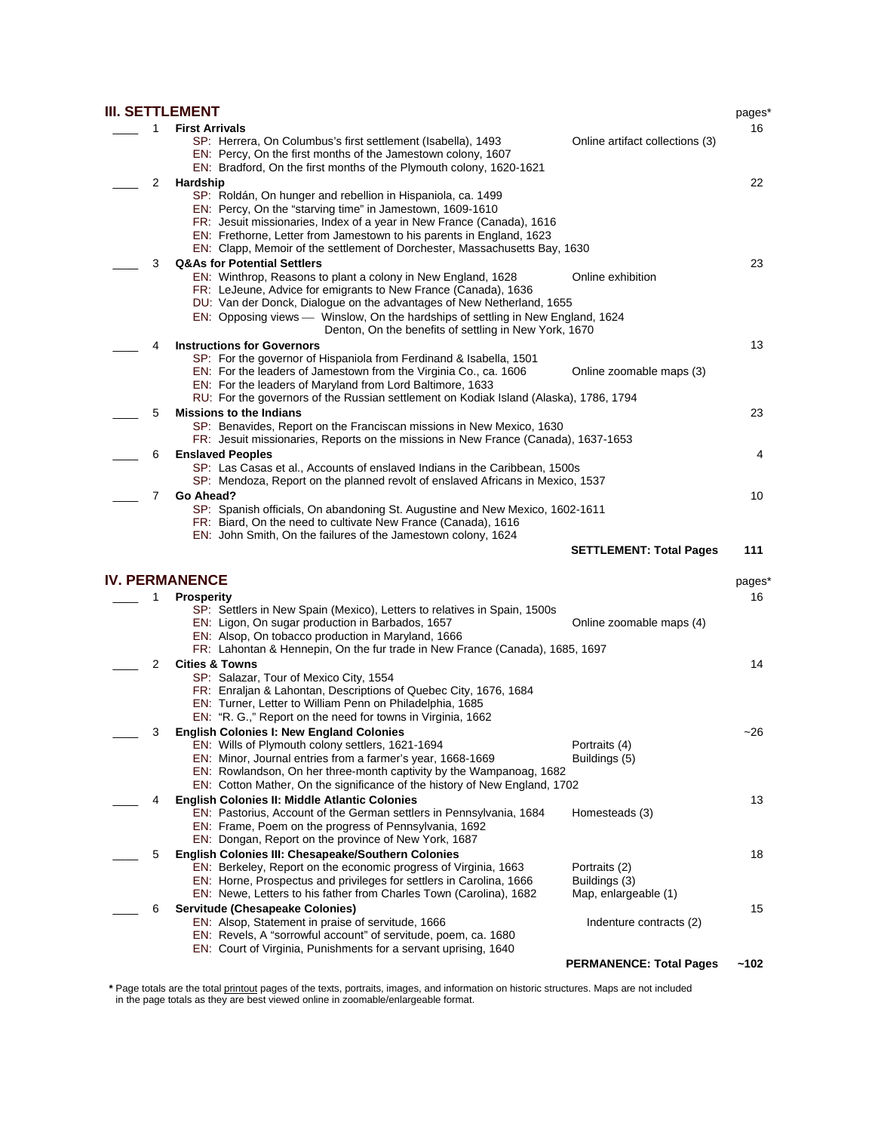|   | <b>III. SETTLEMENT</b>                                                                                                                             |                                 | pages*             |
|---|----------------------------------------------------------------------------------------------------------------------------------------------------|---------------------------------|--------------------|
| 1 | <b>First Arrivals</b>                                                                                                                              |                                 | 16                 |
|   | SP: Herrera, On Columbus's first settlement (Isabella), 1493                                                                                       | Online artifact collections (3) |                    |
|   | EN: Percy, On the first months of the Jamestown colony, 1607                                                                                       |                                 |                    |
|   | EN: Bradford, On the first months of the Plymouth colony, 1620-1621                                                                                |                                 |                    |
| 2 | Hardship                                                                                                                                           |                                 | 22                 |
|   | SP: Roldán, On hunger and rebellion in Hispaniola, ca. 1499                                                                                        |                                 |                    |
|   | EN: Percy, On the "starving time" in Jamestown, 1609-1610                                                                                          |                                 |                    |
|   | FR: Jesuit missionaries, Index of a year in New France (Canada), 1616                                                                              |                                 |                    |
|   | EN: Frethorne, Letter from Jamestown to his parents in England, 1623<br>EN: Clapp, Memoir of the settlement of Dorchester, Massachusetts Bay, 1630 |                                 |                    |
|   | <b>Q&amp;As for Potential Settlers</b>                                                                                                             |                                 |                    |
| 3 | EN: Winthrop, Reasons to plant a colony in New England, 1628                                                                                       | Online exhibition               | 23                 |
|   | FR: LeJeune, Advice for emigrants to New France (Canada), 1636                                                                                     |                                 |                    |
|   | DU: Van der Donck, Dialogue on the advantages of New Netherland, 1655                                                                              |                                 |                    |
|   | EN: Opposing views — Winslow, On the hardships of settling in New England, 1624                                                                    |                                 |                    |
|   | Denton, On the benefits of settling in New York, 1670                                                                                              |                                 |                    |
| 4 | <b>Instructions for Governors</b>                                                                                                                  |                                 | 13                 |
|   | SP: For the governor of Hispaniola from Ferdinand & Isabella, 1501                                                                                 |                                 |                    |
|   | EN: For the leaders of Jamestown from the Virginia Co., ca. 1606                                                                                   | Online zoomable maps (3)        |                    |
|   | EN: For the leaders of Maryland from Lord Baltimore, 1633                                                                                          |                                 |                    |
|   | RU: For the governors of the Russian settlement on Kodiak Island (Alaska), 1786, 1794                                                              |                                 |                    |
| 5 | <b>Missions to the Indians</b>                                                                                                                     |                                 | 23                 |
|   | SP: Benavides, Report on the Franciscan missions in New Mexico, 1630                                                                               |                                 |                    |
|   | FR: Jesuit missionaries, Reports on the missions in New France (Canada), 1637-1653                                                                 |                                 |                    |
| 6 | <b>Enslaved Peoples</b>                                                                                                                            |                                 | 4                  |
|   | SP: Las Casas et al., Accounts of enslaved Indians in the Caribbean, 1500s                                                                         |                                 |                    |
|   | SP: Mendoza, Report on the planned revolt of enslaved Africans in Mexico, 1537                                                                     |                                 |                    |
| 7 | Go Ahead?                                                                                                                                          |                                 | 10                 |
|   | SP: Spanish officials, On abandoning St. Augustine and New Mexico, 1602-1611                                                                       |                                 |                    |
|   | FR: Biard, On the need to cultivate New France (Canada), 1616<br>EN: John Smith, On the failures of the Jamestown colony, 1624                     |                                 |                    |
|   |                                                                                                                                                    |                                 |                    |
|   |                                                                                                                                                    |                                 |                    |
|   |                                                                                                                                                    | <b>SETTLEMENT: Total Pages</b>  | 111                |
|   |                                                                                                                                                    |                                 |                    |
|   | <b>IV. PERMANENCE</b>                                                                                                                              |                                 | pages <sup>*</sup> |
| 1 | <b>Prosperity</b>                                                                                                                                  |                                 | 16                 |
|   | SP: Settlers in New Spain (Mexico), Letters to relatives in Spain, 1500s<br>EN: Ligon, On sugar production in Barbados, 1657                       |                                 |                    |
|   | EN: Alsop, On tobacco production in Maryland, 1666                                                                                                 | Online zoomable maps (4)        |                    |
|   | FR: Lahontan & Hennepin, On the fur trade in New France (Canada), 1685, 1697                                                                       |                                 |                    |
| 2 | <b>Cities &amp; Towns</b>                                                                                                                          |                                 | 14                 |
|   | SP: Salazar, Tour of Mexico City, 1554                                                                                                             |                                 |                    |
|   | FR: Enraljan & Lahontan, Descriptions of Quebec City, 1676, 1684                                                                                   |                                 |                    |
|   | EN: Turner, Letter to William Penn on Philadelphia, 1685                                                                                           |                                 |                    |
|   | EN: "R. G.," Report on the need for towns in Virginia, 1662                                                                                        |                                 |                    |
| 3 | <b>English Colonies I: New England Colonies</b>                                                                                                    |                                 | ~26                |
|   | EN: Wills of Plymouth colony settlers, 1621-1694                                                                                                   | Portraits (4)                   |                    |
|   | EN: Minor, Journal entries from a farmer's year, 1668-1669                                                                                         | Buildings (5)                   |                    |
|   | EN: Rowlandson, On her three-month captivity by the Wampanoag, 1682                                                                                |                                 |                    |
|   | EN: Cotton Mather, On the significance of the history of New England, 1702                                                                         |                                 |                    |
| 4 | <b>English Colonies II: Middle Atlantic Colonies</b>                                                                                               |                                 | 13                 |
|   | EN: Pastorius, Account of the German settlers in Pennsylvania, 1684                                                                                | Homesteads (3)                  |                    |
|   | EN: Frame, Poem on the progress of Pennsylvania, 1692                                                                                              |                                 |                    |
|   | EN: Dongan, Report on the province of New York, 1687                                                                                               |                                 |                    |
| 5 | English Colonies III: Chesapeake/Southern Colonies                                                                                                 | Portraits (2)                   | 18                 |
|   | EN: Berkeley, Report on the economic progress of Virginia, 1663<br>EN: Horne, Prospectus and privileges for settlers in Carolina, 1666             | Buildings (3)                   |                    |
|   | EN: Newe, Letters to his father from Charles Town (Carolina), 1682                                                                                 | Map, enlargeable (1)            |                    |
| 6 | Servitude (Chesapeake Colonies)                                                                                                                    |                                 | 15                 |
|   | EN: Alsop, Statement in praise of servitude, 1666                                                                                                  | Indenture contracts (2)         |                    |
|   | EN: Revels, A "sorrowful account" of servitude, poem, ca. 1680                                                                                     |                                 |                    |
|   | EN: Court of Virginia, Punishments for a servant uprising, 1640                                                                                    | <b>PERMANENCE: Total Pages</b>  | ~102               |

**\*** Page totals are the total printout pages of the texts, portraits, images, and information on historic structures. Maps are not included in the page totals as they are best viewed online in zoomable/enlargeable format.